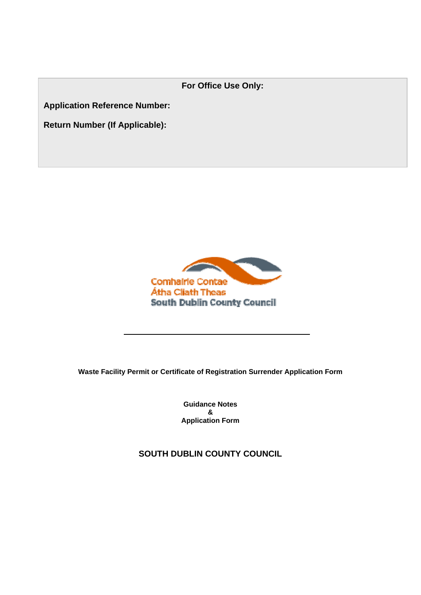**For Office Use Only:** 

**Application Reference Number:** 

**Return Number (If Applicable):** 



**Waste Facility Permit or Certificate of Registration Surrender Application Form** 

**Guidance Notes & Application Form** 

**SOUTH DUBLIN COUNTY COUNCIL**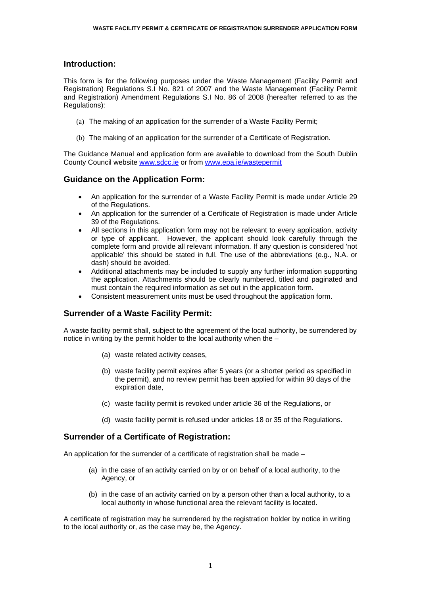#### **Introduction:**

This form is for the following purposes under the Waste Management (Facility Permit and Registration) Regulations S.I No. 821 of 2007 and the Waste Management (Facility Permit and Registration) Amendment Regulations S.I No. 86 of 2008 (hereafter referred to as the Regulations):

- (a) The making of an application for the surrender of a Waste Facility Permit;
- (b) The making of an application for the surrender of a Certificate of Registration.

The Guidance Manual and application form are available to download from the South Dublin County Council website [www.sdcc.ie](http://www.sdcc.ie/) or from [www.epa.ie/wastepermit](http://www.epa.ie/wastepermit)

#### **Guidance on the Application Form:**

- An application for the surrender of a Waste Facility Permit is made under Article 29 of the Regulations.
- An application for the surrender of a Certificate of Registration is made under Article 39 of the Regulations.
- All sections in this application form may not be relevant to every application, activity or type of applicant. However, the applicant should look carefully through the complete form and provide all relevant information. If any question is considered 'not applicable' this should be stated in full. The use of the abbreviations (e.g., N.A. or dash) should be avoided.
- Additional attachments may be included to supply any further information supporting the application. Attachments should be clearly numbered, titled and paginated and must contain the required information as set out in the application form.
- Consistent measurement units must be used throughout the application form.

## **Surrender of a Waste Facility Permit:**

A waste facility permit shall, subject to the agreement of the local authority, be surrendered by notice in writing by the permit holder to the local authority when the –

- (a) waste related activity ceases,
- (b) waste facility permit expires after 5 years (or a shorter period as specified in the permit), and no review permit has been applied for within 90 days of the expiration date,
- (c) waste facility permit is revoked under article 36 of the Regulations, or
- (d) waste facility permit is refused under articles 18 or 35 of the Regulations.

## **Surrender of a Certificate of Registration:**

An application for the surrender of a certificate of registration shall be made –

- (a) in the case of an activity carried on by or on behalf of a local authority, to the Agency, or
- (b) in the case of an activity carried on by a person other than a local authority, to a local authority in whose functional area the relevant facility is located.

A certificate of registration may be surrendered by the registration holder by notice in writing to the local authority or, as the case may be, the Agency.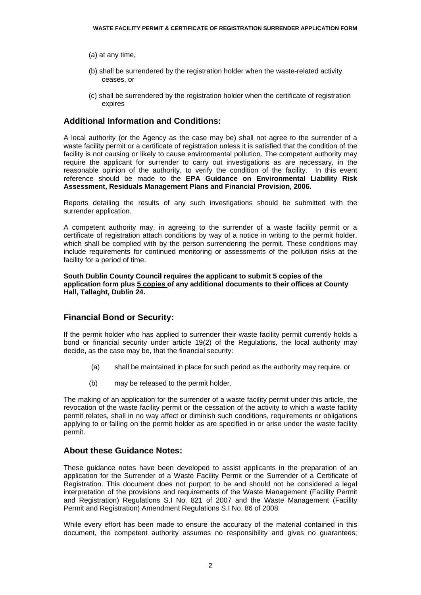- (a) at any time,
- (b) shall be surrendered by the registration holder when the waste-related activity ceases, or
- (c) shall be surrendered by the registration holder when the certificate of registration expires

## **Additional Information and Conditions:**

A local authority (or the Agency as the case may be) shall not agree to the surrender of a waste facility permit or a certificate of registration unless it is satisfied that the condition of the facility is not causing or likely to cause environmental pollution. The competent authority may require the applicant for surrender to carry out investigations as are necessary, in the reasonable opinion of the authority, to verify the condition of the facility. In this event reference should be made to the **EPA Guidance on Environmental Liability Risk Assessment, Residuals Management Plans and Financial Provision, 2006.** 

Reports detailing the results of any such investigations should be submitted with the surrender application.

A competent authority may, in agreeing to the surrender of a waste facility permit or a certificate of registration attach conditions by way of a notice in writing to the permit holder, which shall be complied with by the person surrendering the permit. These conditions may include requirements for continued monitoring or assessments of the pollution risks at the facility for a period of time.

**South Dublin County Council requires the applicant to submit 5 copies of the application form plus 5 copies of any additional documents to their offices at County Hall, Tallaght, Dublin 24.** 

## **Financial Bond or Security:**

If the permit holder who has applied to surrender their waste facility permit currently holds a bond or financial security under article 19(2) of the Regulations, the local authority may decide, as the case may be, that the financial security:

- (a) shall be maintained in place for such period as the authority may require, or
- (b) may be released to the permit holder.

The making of an application for the surrender of a waste facility permit under this article, the revocation of the waste facility permit or the cessation of the activity to which a waste facility permit relates, shall in no way affect or diminish such conditions, requirements or obligations applying to or falling on the permit holder as are specified in or arise under the waste facility permit.

#### **About these Guidance Notes:**

These guidance notes have been developed to assist applicants in the preparation of an application for the Surrender of a Waste Facility Permit or the Surrender of a Certificate of Registration. This document does not purport to be and should not be considered a legal interpretation of the provisions and requirements of the Waste Management (Facility Permit and Registration) Regulations S.I No. 821 of 2007 and the Waste Management (Facility Permit and Registration) Amendment Regulations S.I No. 86 of 2008.

While every effort has been made to ensure the accuracy of the material contained in this document, the competent authority assumes no responsibility and gives no guarantees;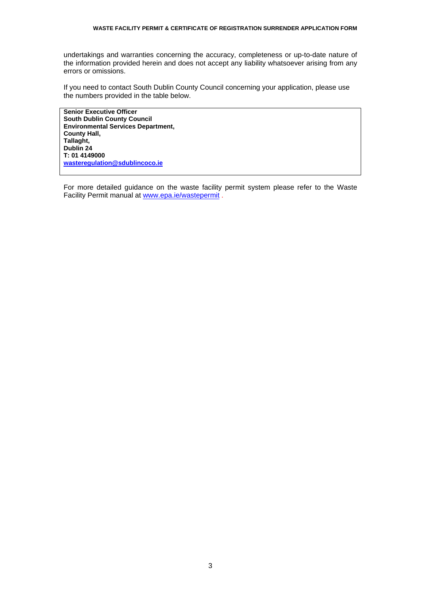undertakings and warranties concerning the accuracy, completeness or up-to-date nature of the information provided herein and does not accept any liability whatsoever arising from any errors or omissions.

If you need to contact South Dublin County Council concerning your application, please use the numbers provided in the table below.

**Senior Executive Officer South Dublin County Council Environmental Services Department, County Hall, Tallaght, Dublin 24 T: 01 4149000 [wasteregulation@sdublincoco.ie](mailto:wasteregulation@sdublincoco.ie)**

For more detailed guidance on the waste facility permit system please refer to the Waste Facility Permit manual at [www.epa.ie/wastepermit](http://www.epa.ie/wastepermit) .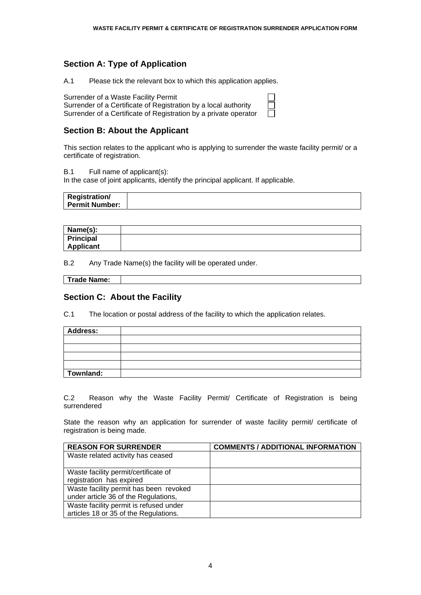## **Section A: Type of Application**

A.1 Please tick the relevant box to which this application applies.

Surrender of a Waste Facility Permit Surrender of a Certificate of Registration by a local authority Surrender of a Certificate of Registration by a private operator

## **Section B: About the Applicant**

This section relates to the applicant who is applying to surrender the waste facility permit/ or a certificate of registration.

B.1 Full name of applicant(s):

In the case of joint applicants, identify the principal applicant. If applicable.

| <b>Registration/</b> |  |
|----------------------|--|
| Permit Number:       |  |

| Name(s):  |  |
|-----------|--|
| Principal |  |
| Applicant |  |

B.2 Any Trade Name(s) the facility will be operated under.

**Trade Name:** 

#### **Section C: About the Facility**

C.1 The location or postal address of the facility to which the application relates.

| Address:  |  |
|-----------|--|
|           |  |
|           |  |
|           |  |
|           |  |
| Townland: |  |

C.2 Reason why the Waste Facility Permit/ Certificate of Registration is being surrendered

State the reason why an application for surrender of waste facility permit/ certificate of registration is being made.

| <b>REASON FOR SURRENDER</b>                                                     | <b>COMMENTS / ADDITIONAL INFORMATION</b> |
|---------------------------------------------------------------------------------|------------------------------------------|
| Waste related activity has ceased                                               |                                          |
| Waste facility permit/certificate of<br>registration has expired                |                                          |
| Waste facility permit has been revoked<br>under article 36 of the Regulations,  |                                          |
| Waste facility permit is refused under<br>articles 18 or 35 of the Regulations. |                                          |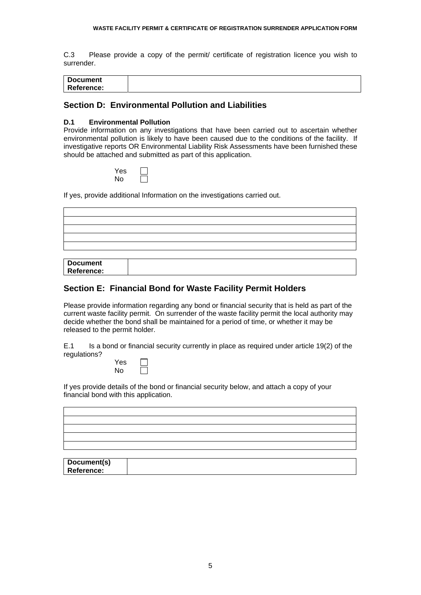C.3 Please provide a copy of the permit/ certificate of registration licence you wish to surrender.

| <b>Document</b>   |  |
|-------------------|--|
| <b>Reference:</b> |  |

## **Section D: Environmental Pollution and Liabilities**

#### **D.1 Environmental Pollution**

Provide information on any investigations that have been carried out to ascertain whether environmental pollution is likely to have been caused due to the conditions of the facility. If investigative reports OR Environmental Liability Risk Assessments have been furnished these should be attached and submitted as part of this application.

| Yes |  |
|-----|--|
| No  |  |

If yes, provide additional Information on the investigations carried out.

| <b>Document</b>   |  |
|-------------------|--|
| <b>Reference:</b> |  |

#### **Section E: Financial Bond for Waste Facility Permit Holders**

Please provide information regarding any bond or financial security that is held as part of the current waste facility permit. On surrender of the waste facility permit the local authority may decide whether the bond shall be maintained for a period of time, or whether it may be released to the permit holder.

E.1 Is a bond or financial security currently in place as required under article 19(2) of the regulations?

| Yes |  |
|-----|--|
| No  |  |

If yes provide details of the bond or financial security below, and attach a copy of your financial bond with this application.

| Document(s) |  |
|-------------|--|
| Reference:  |  |